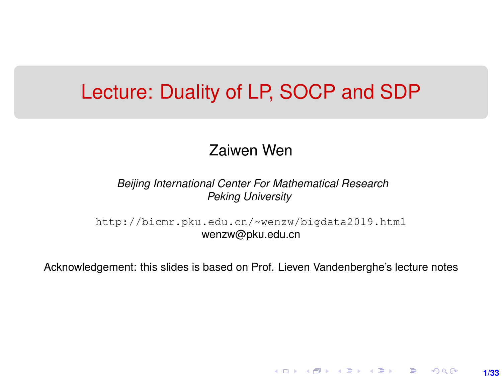### Lecture: Duality of LP, SOCP and SDP

#### Zaiwen Wen

*Beijing International Center For Mathematical Research Peking University*

[http://bicmr.pku.edu.cn/~wenzw/bigdata2019.html](http://bicmr.pku.edu.cn/~wenzw/bigdata2019.html ) wenzw@pku.edu.cn

Acknowledgement: this slides is based on Prof. Lieven Vandenberghe's lecture notes

**1/33**

K ロ ▶ K 레 ▶ K 회 ▶ K 회 ▶ │ 회 │ ⊙ Q Q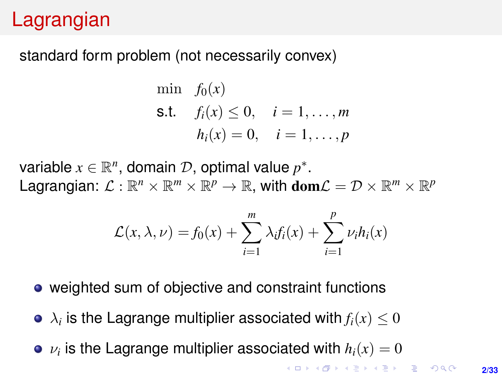# Lagrangian

#### standard form problem (not necessarily convex)

min 
$$
f_0(x)
$$
  
\n**s.t.**  $f_i(x) \le 0$ ,  $i = 1,..., m$   
\n $h_i(x) = 0$ ,  $i = 1,..., p$ 

variable  $x \in \mathbb{R}^n$ , domain  $\mathcal{D}$ , optimal value  $p^*$ . Lagrangian:  $\mathcal{L}: \mathbb{R}^n \times \mathbb{R}^m \times \mathbb{R}^p \to \mathbb{R}$ , with  $\textbf{dom}\mathcal{L} = \mathcal{D} \times \mathbb{R}^m \times \mathbb{R}^p$ 

$$
\mathcal{L}(x,\lambda,\nu) = f_0(x) + \sum_{i=1}^m \lambda_i f_i(x) + \sum_{i=1}^p \nu_i h_i(x)
$$

- weighted sum of objective and constraint functions
- $\lambda_i$  is the Lagrange multiplier associated with  $f_i(x) \leq 0$
- $\nu_i$  is the Lagrange multiplier associated with  $h_i(x)=0$

**KOD KAD KED KED E YOUR**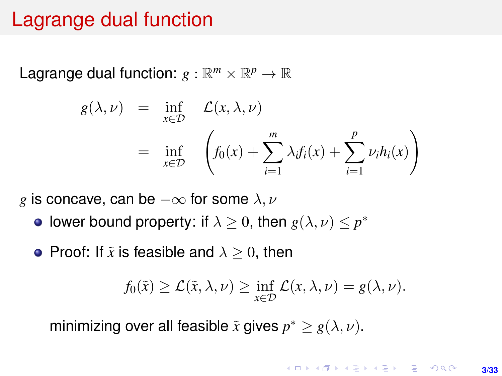### Lagrange dual function

Lagrange dual function:  $g : \mathbb{R}^m \times \mathbb{R}^p \to \mathbb{R}$ 

$$
g(\lambda, \nu) = \inf_{x \in \mathcal{D}} \mathcal{L}(x, \lambda, \nu)
$$
  
= 
$$
\inf_{x \in \mathcal{D}} \left( f_0(x) + \sum_{i=1}^m \lambda_i f_i(x) + \sum_{i=1}^p \nu_i h_i(x) \right)
$$

*g* is concave, can be  $-\infty$  for some  $\lambda, \nu$ 

lower bound property: if  $\lambda \geq 0$ , then  $g(\lambda, \nu) \leq p^*$ 

• Proof: If  $\tilde{x}$  is feasible and  $\lambda > 0$ , then

$$
f_0(\tilde{x}) \geq \mathcal{L}(\tilde{x}, \lambda, \nu) \geq \inf_{x \in \mathcal{D}} \mathcal{L}(x, \lambda, \nu) = g(\lambda, \nu).
$$

minimizing over all feasible  $\tilde{x}$  gives  $p^* \geq g(\lambda, \nu)$ .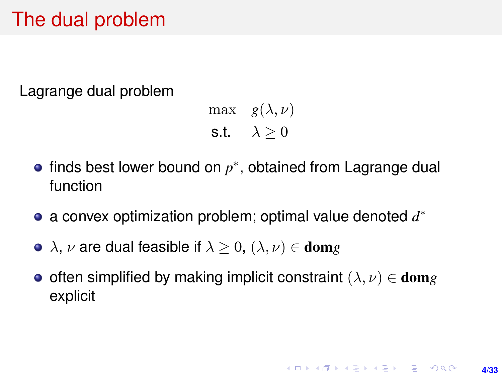# The dual problem

Lagrange dual problem

max  $g(\lambda, \nu)$ s.t.  $\lambda > 0$ 

- finds best lower bound on  $p^*$ , obtained from Lagrange dual function
- a convex optimization problem; optimal value denoted *d* ∗
- $\lambda$ ,  $\nu$  are dual feasible if  $\lambda > 0$ ,  $(\lambda, \nu) \in \text{dom} g$
- often simplified by making implicit constraint  $(\lambda, \nu) \in \text{dom} g$ explicit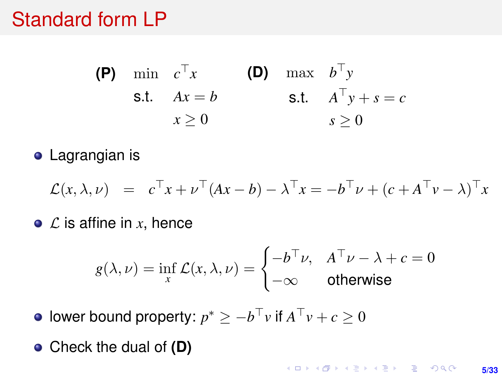### Standard form LP

(P) min 
$$
c^{\top}x
$$
 (D) max  $b^{\top}y$   
s.t.  $Ax = b$  s.t.  $A^{\top}y + s = c$   
 $x \ge 0$   $s \ge 0$ 

**•** Lagrangian is

$$
\mathcal{L}(x,\lambda,\nu) = c^{\top}x + \nu^{\top}(Ax - b) - \lambda^{\top}x = -b^{\top}\nu + (c + A^{\top}\nu - \lambda)^{\top}x
$$

 $\bullet$  *C* is affine in *x*, hence

$$
g(\lambda, \nu) = \inf_{x} \mathcal{L}(x, \lambda, \nu) = \begin{cases} -b^{\top} \nu, & A^{\top} \nu - \lambda + c = 0 \\ -\infty & \text{otherwise} \end{cases}
$$

lower bound property:  $p^* \geq -b^\top v$  if  $A^\top v + c \geq 0$ 

Check the dual of **(D)**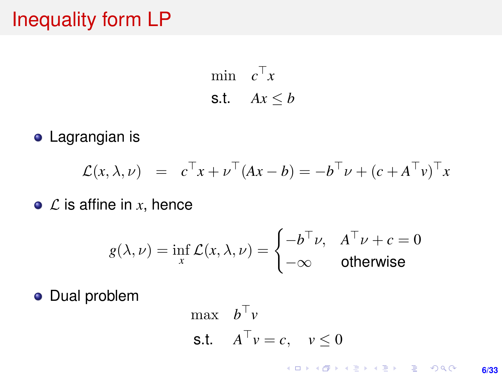# Inequality form LP

min  $c^{\top}x$ s.t.  $Ax \leq b$ 

**•** Lagrangian is

$$
\mathcal{L}(x,\lambda,\nu) = c^{\top}x + \nu^{\top}(Ax - b) = -b^{\top}\nu + (c + A^{\top}\nu)^{\top}x
$$

 $\bullet$  *C* is affine in *x*, hence

$$
g(\lambda, \nu) = \inf_{x} \mathcal{L}(x, \lambda, \nu) = \begin{cases} -b^{\top} \nu, & A^{\top} \nu + c = 0\\ -\infty & \text{otherwise} \end{cases}
$$

**·** Dual problem

$$
\begin{aligned}\n\max \quad & b^{\top} v \\
\text{s.t.} \quad & A^{\top} v = c, \quad v \leq 0\n\end{aligned}
$$

**KOD KAD KED KED E YOUR 6/33**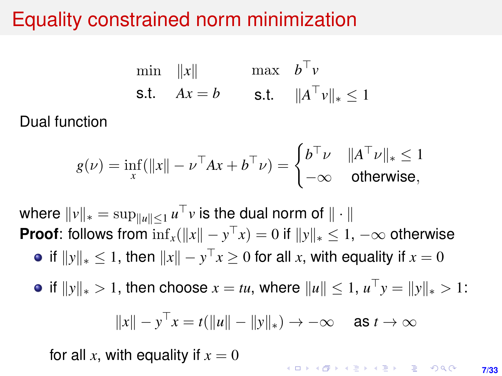# Equality constrained norm minimization

$$
\begin{array}{ll}\n\min & \|x\| & \max & b^{\top}v \\
\text{s.t.} & Ax = b & \text{s.t.} & \|A^{\top}v\|_{*} \le 1\n\end{array}
$$

#### Dual function

$$
g(\nu) = \inf_{x} (\|x\| - \nu^\top Ax + b^\top \nu) = \begin{cases} b^\top \nu & \|A^\top \nu\|_* \le 1\\ -\infty & \text{otherwise,} \end{cases}
$$

where  $\|v\|_* = \sup_{\|u\|\leq 1} u^\top v$  is the dual norm of  $\|\cdot\|$ **Proof:** follows from  $\inf_x (\|x\| - y^\top x) = 0$  if  $\|y\|_* \leq 1$ ,  $-\infty$  otherwise if  $\|y\|_* \leq 1$ , then  $\|x\| - y^\top x \geq 0$  for all  $x$ , with equality if  $x = 0$ 

*if*  $||y||_* > 1$ , then choose *x* = *tu*, where  $||u|| ≤ 1$ ,  $u<sup>T</sup>y = ||y||_* > 1$ :

$$
||x|| - y^{\top}x = t(||u|| - ||y||_*) \rightarrow -\infty \quad \text{as } t \rightarrow \infty
$$

for all x, with equality if  $x = 0$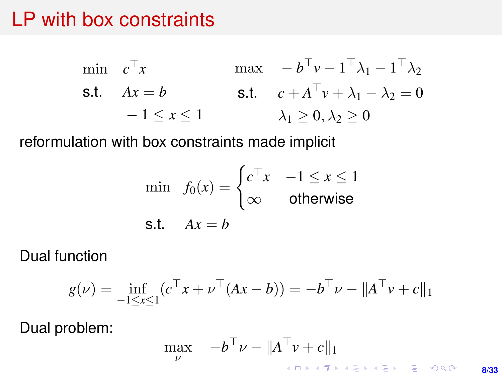### LP with box constraints

$$
\begin{aligned}\n\min \quad & c^\top x & \max \quad -b^\top v - 1^\top \lambda_1 - 1^\top \lambda_2 \\
\text{s.t.} \quad & Ax = b & \text{s.t.} \quad & c + A^\top v + \lambda_1 - \lambda_2 = 0 \\
& -1 \le x \le 1 & \lambda_1 \ge 0, \lambda_2 \ge 0\n\end{aligned}
$$

reformulation with box constraints made implicit

$$
\min f_0(x) = \begin{cases} c^\top x & -1 \le x \le 1 \\ \infty & \text{otherwise} \end{cases}
$$
  
s.t.  $Ax = b$ 

Dual function

$$
g(\nu) = \inf_{-1 \le x \le 1} (c^{\top} x + \nu^{\top} (Ax - b)) = -b^{\top} \nu - ||A^{\top} \nu + c||_1
$$

Dual problem:

$$
\max_{\nu} \quad -b^{\top}\nu - \|A^{\top}\nu + c\|_1
$$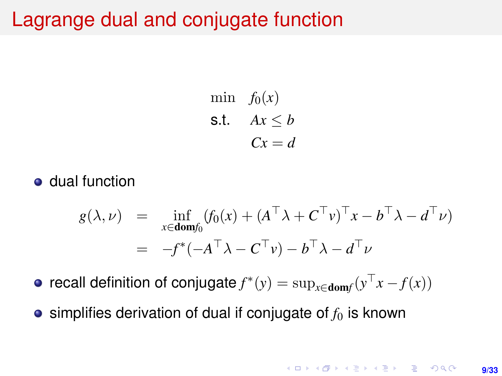### Lagrange dual and conjugate function

min  $f_0(x)$ s.t.  $Ax \leq b$  $Cx = d$ 

dual function

$$
g(\lambda, \nu) = \inf_{x \in \text{dom} f_0} (f_0(x) + (A^\top \lambda + C^\top \nu)^\top x - b^\top \lambda - d^\top \nu)
$$
  
= 
$$
-f^*(-A^\top \lambda - C^\top \nu) - b^\top \lambda - d^\top \nu
$$

 ${\sf recall}$  definition of  ${\sf conjugate} f^*(y) = \sup_{x \in {\sf dom} f} (y^\top x - f(x))$ 

 $\bullet$  simplifies derivation of dual if conjugate of  $f_0$  is known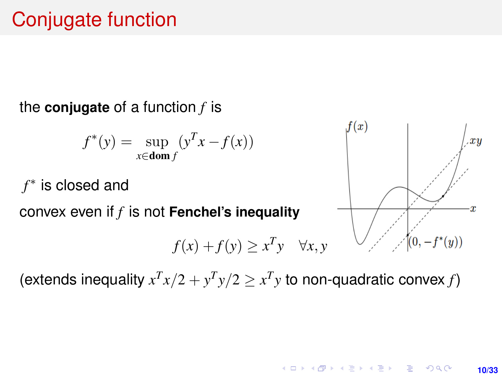# Conjugate function

#### the **conjugate** of a function *f* is

$$
f^*(y) = \sup_{x \in \text{dom } f} (y^T x - f(x))
$$

*f* ∗ is closed and

convex even if *f* is not **Fenchel's inequality**

$$
f(x) + f(y) \ge x^T y \quad \forall x, y
$$



(extends inequality  $x^T x/2 + y^T y/2 \ge x^T y$  to non-quadratic convex *f*)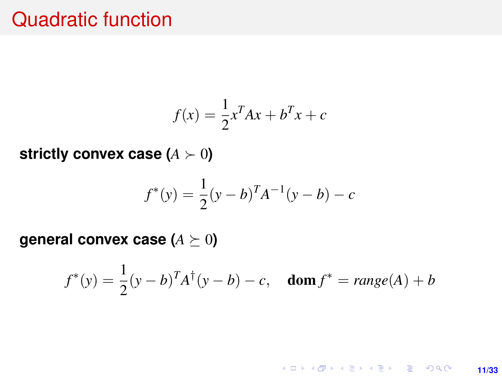### Quadratic function

$$
f(x) = \frac{1}{2}x^T A x + b^T x + c
$$

**strictly convex case**  $(A \succ 0)$ 

$$
f^*(y) = \frac{1}{2}(y - b)^T A^{-1}(y - b) - c
$$

**general convex case (** $A \succeq 0$ **)** 

$$
f^*(y) = \frac{1}{2}(y-b)^T A^{\dagger}(y-b) - c
$$
, **dom**  $f^* = \text{range}(A) + b$ 

K ロ ▶ K @ ▶ K 할 ▶ K 할 ▶ ... 할 → 9 Q @ **11/33**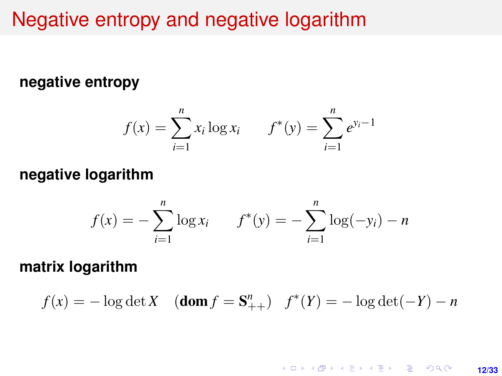### Negative entropy and negative logarithm

#### **negative entropy**

$$
f(x) = \sum_{i=1}^{n} x_i \log x_i \qquad f^*(y) = \sum_{i=1}^{n} e^{y_i - 1}
$$

#### **negative logarithm**

$$
f(x) = -\sum_{i=1}^{n} \log x_i \qquad f^*(y) = -\sum_{i=1}^{n} \log(-y_i) - n
$$

**matrix logarithm**

$$
f(x) = -\log \det X
$$
 (**dom**  $f = S_{++}^n$ )  $f^*(Y) = -\log \det(-Y) - n$ 

**KOD KAP KED KED E YORA 12/33**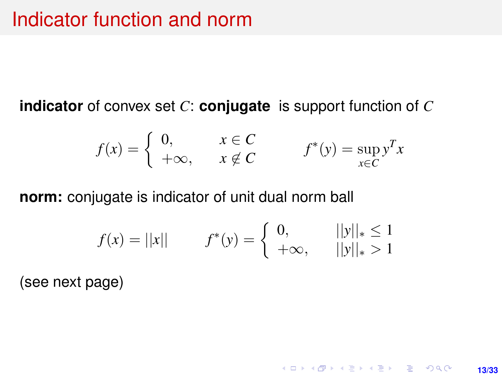**indicator** of convex set *C*: **conjugate** is support function of *C*

$$
f(x) = \begin{cases} 0, & x \in C \\ +\infty, & x \notin C \end{cases} \qquad f^*(y) = \sup_{x \in C} y^T x
$$

**norm:** conjugate is indicator of unit dual norm ball

$$
f(x) = ||x|| \qquad f^*(y) = \begin{cases} 0, & ||y||_* \le 1 \\ +\infty, & ||y||_* > 1 \end{cases}
$$

**13/33**

K ロ ▶ K @ ▶ K 할 ▶ K 할 ▶ ... 할 → 9 Q @

(see next page)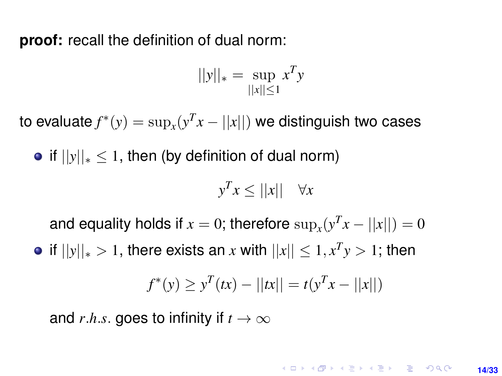**proof:** recall the definition of dual norm:

$$
||y||_* = \sup_{||x|| \le 1} x^T y
$$

to evaluate  $f^*(y) = \sup_x (y^T x - ||x||)$  we distinguish two cases

• if  $||y||_* \le 1$ , then (by definition of dual norm)

$$
y^T x \le ||x|| \quad \forall x
$$

and equality holds if  $x = 0$ ; therefore  $\sup_x(y^T x - ||x||) = 0$ 

 $|f||y||_* > 1$ , there exists an  $x$  with  $||x|| \leq 1, x^T y > 1$ ; then

$$
f^*(y) \ge y^T(tx) - ||tx|| = t(y^T x - ||x||)
$$

and *r.h.s.* goes to infinity if  $t \to \infty$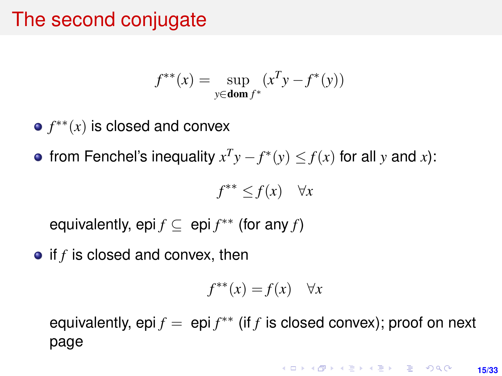# The second conjugate

$$
f^{**}(x) = \sup_{y \in \text{dom } f^*} (x^T y - f^*(y))
$$

- *f* ∗∗(*x*) is closed and convex
- from Fenchel's inequality  $x^T y f^*(y) \leq f(x)$  for all *y* and *x*):

$$
f^{**} \le f(x) \quad \forall x
$$

equivalently, epi  $f \subseteq$  epi  $f^{**}$  (for any  $f$ )

• if *f* is closed and convex, then

$$
f^{**}(x) = f(x) \quad \forall x
$$

equivalently, epi  $f = epi f^{**}$  (if *f* is closed convex); proof on next page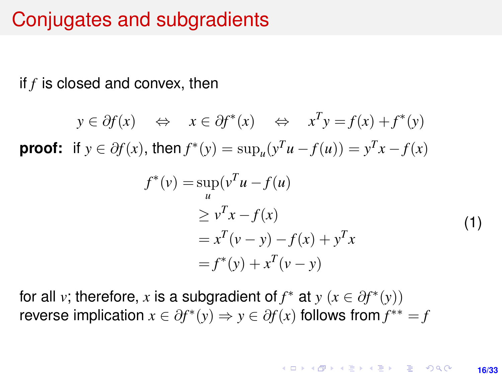### Conjugates and subgradients

if *f* is closed and convex, then

$$
y \in \partial f(x)
$$
  $\Leftrightarrow$   $x \in \partial f^*(x)$   $\Leftrightarrow$   $x^T y = f(x) + f^*(y)$   
**proof:** if  $y \in \partial f(x)$ , then  $f^*(y) = \sup_u(y^T u - f(u)) = y^T x - f(x)$ 

$$
f^*(v) = \sup_u (v^T u - f(u))
$$
  
\n
$$
\ge v^T x - f(x)
$$
  
\n
$$
= x^T (v - y) - f(x) + y^T x
$$
  
\n
$$
= f^*(y) + x^T (v - y)
$$
\n(1)

for all *v*; therefore, *x* is a subgradient of  $f^*$  at  $y$  ( $x \in \partial f^*(y)$ ) reverse implication  $x \in \partial f^*(y) \Rightarrow y \in \partial f(x)$  follows from  $f^{**} = f$ 

> KORK ERKER ERKER **16/33**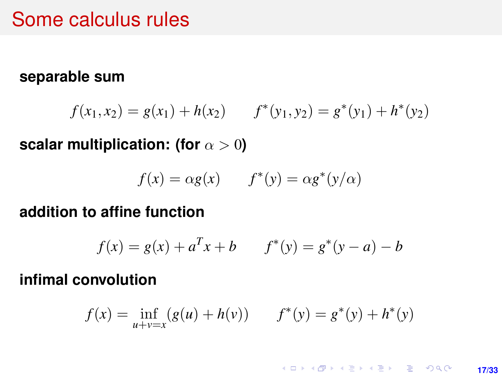### Some calculus rules

#### **separable sum**

$$
f(x_1, x_2) = g(x_1) + h(x_2) \qquad f^*(y_1, y_2) = g^*(y_1) + h^*(y_2)
$$

**scalar multiplication: (for**  $\alpha > 0$ )

$$
f(x) = \alpha g(x) \qquad f^*(y) = \alpha g^*(y/\alpha)
$$

#### **addition to affine function**

$$
f(x) = g(x) + a^{T}x + b \qquad f^*(y) = g^*(y - a) - b
$$

#### **infimal convolution**

$$
f(x) = \inf_{u+v=x} (g(u) + h(v)) \qquad f^*(y) = g^*(y) + h^*(y)
$$

K ロ ▶ K @ ▶ K 할 ▶ K 할 ▶ 이 할 → 9 Q @ **17/33**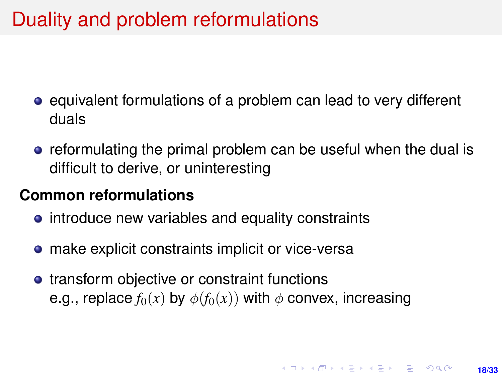# Duality and problem reformulations

- equivalent formulations of a problem can lead to very different duals
- **•** reformulating the primal problem can be useful when the dual is difficult to derive, or uninteresting

#### **Common reformulations**

- introduce new variables and equality constraints
- **•** make explicit constraints implicit or vice-versa
- transform objective or constraint functions e.g., replace  $f_0(x)$  by  $\phi(f_0(x))$  with  $\phi$  convex, increasing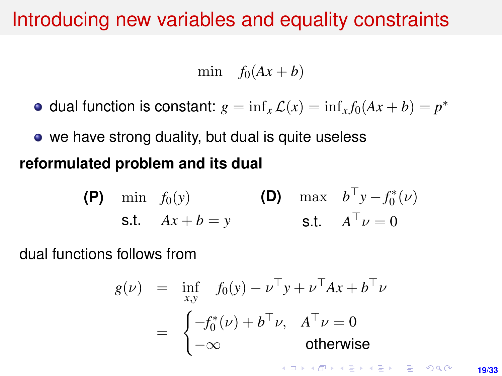### Introducing new variables and equality constraints

min  $f_0(Ax + b)$ 

dual function is constant:  $g = \inf_x \mathcal{L}(x) = \inf_x f_0(Ax + b) = p^*$ 

• we have strong duality, but dual is quite useless **reformulated problem and its dual**

(P) min 
$$
f_0(y)
$$
  
\ns.t.  $Ax + b = y$   
\n(B) max  $b^{\top}y - f_0^*(v)$   
\ns.t.  $A^{\top}v = 0$ 

dual functions follows from

$$
g(\nu) = \inf_{x,y} f_0(y) - \nu^{\top} y + \nu^{\top} Ax + b^{\top} \nu
$$
  
= 
$$
\begin{cases} -f_0^*(\nu) + b^{\top} \nu, & A^{\top} \nu = 0 \\ -\infty & \text{otherwise} \end{cases}
$$

**KORKARK A BIK BIKA A GA A GA A GA A BIKA A BIKA A BIKA A BIKA A BIKA A BIKA A BIKA A BIKA A BIKA A BIKA A BIKA**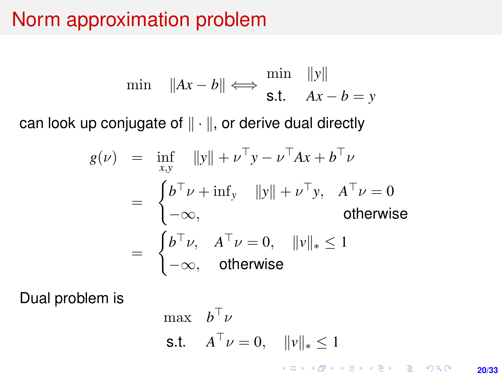## Norm approximation problem

$$
\min \quad \|Ax - b\| \Longleftrightarrow \frac{\min \quad \|y\|}{\text{s.t.} \quad Ax - b = y}
$$

can look up conjugate of  $\|\cdot\|$ , or derive dual directly

$$
g(\nu) = \inf_{x,y} \|y\| + \nu^{\top} y - \nu^{\top} Ax + b^{\top} \nu
$$
  
= 
$$
\begin{cases} b^{\top} \nu + \inf_{y} \|y\| + \nu^{\top} y, & A^{\top} \nu = 0 \\ -\infty, & \text{otherwise} \end{cases}
$$
  
= 
$$
\begin{cases} b^{\top} \nu, & A^{\top} \nu = 0, & ||\nu||_* \le 1 \\ -\infty, & \text{otherwise} \end{cases}
$$

Dual problem is

max 
$$
b^{\top} \nu
$$
  
\ns.t.  $A^{\top} \nu = 0$ ,  $||v||_* \le 1$ 

K ロ ▶ K @ ▶ K 할 ▶ K 할 ▶ 이 할 → 9 Q @

**20/33**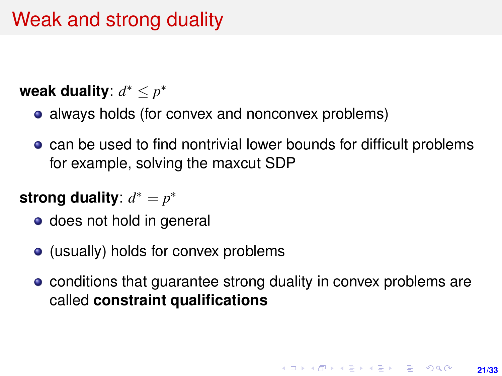# Weak and strong duality

### **weak duality**: *d* <sup>∗</sup> ≤ *p* ∗

- always holds (for convex and nonconvex problems)
- can be used to find nontrivial lower bounds for difficult problems for example, solving the maxcut SDP

### strong duality:  $d^* = p^*$

- does not hold in general
- (usually) holds for convex problems
- conditions that guarantee strong duality in convex problems are called **constraint qualifications**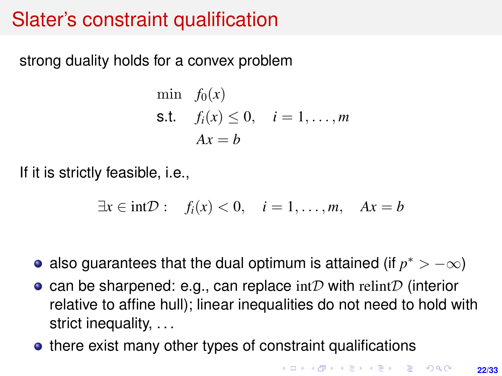# Slater's constraint qualification

strong duality holds for a convex problem

$$
\begin{aligned}\n\min \quad & f_0(x) \\
\text{s.t.} \quad & f_i(x) \le 0, \quad i = 1, \dots, m \\
& Ax = b\n\end{aligned}
$$

If it is strictly feasible, i.e.,

$$
\exists x \in \text{int} \mathcal{D} : \quad f_i(x) < 0, \quad i = 1, \dots, m, \quad Ax = b
$$

- also guarantees that the dual optimum is attained (if  $p^* > -\infty$ )
- can be sharpened: e.g., can replace  $\text{int}\mathcal{D}$  with relint D (interior relative to affine hull); linear inequalities do not need to hold with strict inequality, . . .
- there exist many other types of constraint qualifications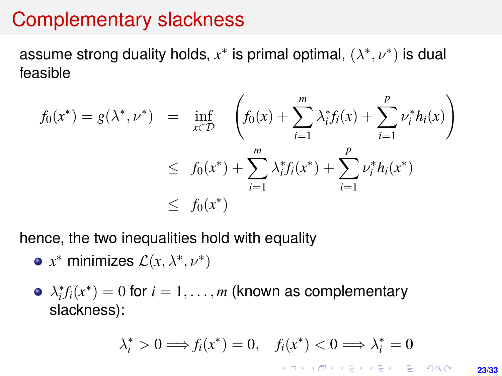### Complementary slackness

assume strong duality holds,  $x^*$  is primal optimal,  $(\lambda^*, \nu^*)$  is dual feasible

$$
f_0(x^*) = g(\lambda^*, \nu^*) = \inf_{x \in \mathcal{D}} \left( f_0(x) + \sum_{i=1}^m \lambda_i^* f_i(x) + \sum_{i=1}^p \nu_i^* h_i(x) \right)
$$
  

$$
\leq f_0(x^*) + \sum_{i=1}^m \lambda_i^* f_i(x^*) + \sum_{i=1}^p \nu_i^* h_i(x^*)
$$
  

$$
\leq f_0(x^*)
$$

hence, the two inequalities hold with equality

- $x^*$  minimizes  $\mathcal{L}(x, \lambda^*, \nu^*)$
- $\lambda_i^* f_i(x^*) = 0$  for  $i = 1, \ldots, m$  (known as complementary slackness):

$$
\lambda_i^* > 0 \Longrightarrow f_i(x^*) = 0, \quad f_i(x^*) < 0 \Longrightarrow \lambda_i^* = 0
$$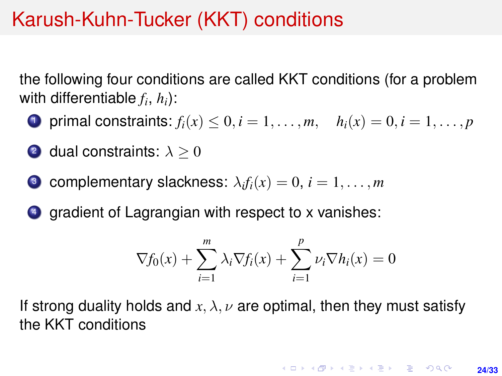# Karush-Kuhn-Tucker (KKT) conditions

the following four conditions are called KKT conditions (for a problem with differentiable  $f_i$ ,  $h_i$ ):

- **1** primal constraints:  $f_i(x) < 0, i = 1, ..., m,$   $h_i(x) = 0, i = 1, ..., p$
- 2 dual constraints:  $\lambda > 0$
- $\bullet$  complementary slackness:  $\lambda_i f_i(x) = 0, \, i = 1, \ldots, m$
- <sup>4</sup> gradient of Lagrangian with respect to x vanishes:

$$
\nabla f_0(x) + \sum_{i=1}^m \lambda_i \nabla f_i(x) + \sum_{i=1}^p \nu_i \nabla h_i(x) = 0
$$

If strong duality holds and  $x, \lambda, \nu$  are optimal, then they must satisfy the KKT conditions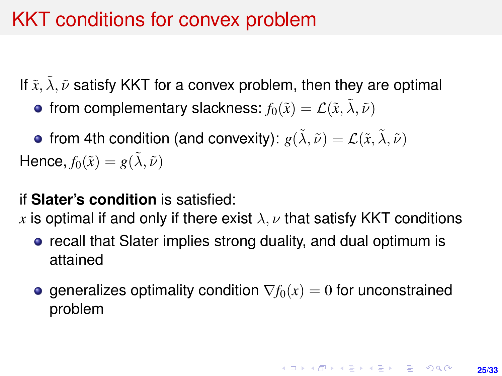# KKT conditions for convex problem

If  $\tilde{x}$ ,  $\tilde{\lambda}$ ,  $\tilde{\nu}$  satisfy KKT for a convex problem, then they are optimal

• from complementary slackness:  $f_0(\tilde{x}) = \mathcal{L}(\tilde{x}, \tilde{\lambda}, \tilde{\nu})$ 

• from 4th condition (and convexity):  $g(\lambda, \tilde{\nu}) = \mathcal{L}(\tilde{x}, \tilde{\lambda}, \tilde{\nu})$ Hence,  $f_0(\tilde{x}) = g(\tilde{\lambda}, \tilde{\nu})$ 

#### if **Slater's condition** is satisfied:

*x* is optimal if and only if there exist  $\lambda, \nu$  that satisfy KKT conditions

- **•** recall that Slater implies strong duality, and dual optimum is attained
- **e** generalizes optimality condition  $\nabla f_0(x) = 0$  for unconstrained problem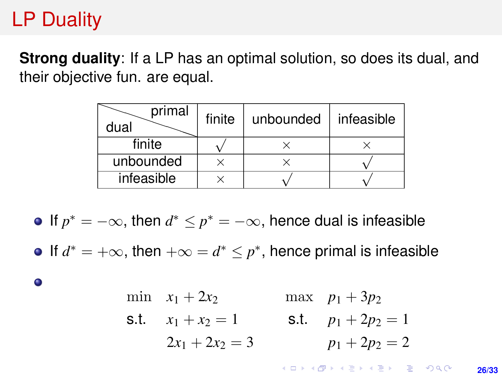# LP Duality

**Strong duality:** If a LP has an optimal solution, so does its dual, and their objective fun. are equal.

| primal<br>dual | finite | unbounded | infeasible |
|----------------|--------|-----------|------------|
| finite         |        |           |            |
| unbounded      |        |           |            |
| infeasible     |        |           |            |

If  $p^* = -\infty$ , then  $d^* \leq p^* = -\infty$ , hence dual is infeasible

If  $d^* = +\infty$ , then  $+\infty = d^* \leq p^*$ , hence primal is infeasible

 $\bullet$ 

min 
$$
x_1 + 2x_2
$$
 max  $p_1 + 3p_2$   
\ns.t.  $x_1 + x_2 = 1$  s.t.  $p_1 + 2p_2 = 1$   
\n $2x_1 + 2x_2 = 3$   $p_1 + 2p_2 = 2$ 

**KORKARK KERKER DRAM 26/33**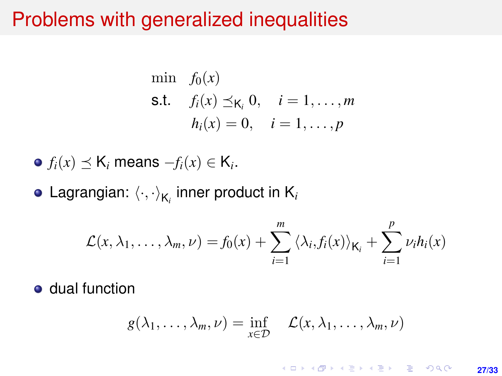### Problems with generalized inequalities

min 
$$
f_0(x)
$$
  
\n**s.t.**  $f_i(x) \leq K_i, 0, \quad i = 1, ..., m$   
\n $h_i(x) = 0, \quad i = 1, ..., p$ 

• 
$$
f_i(x) \preceq K_i
$$
 means  $-f_i(x) \in K_i$ .

Lagrangian:  $\left\langle \cdot,\cdot\right\rangle _{\mathsf{K}_{i}}$  inner product in  $\mathsf{K}_{i}$ 

$$
\mathcal{L}(x,\lambda_1,\ldots,\lambda_m,\nu)=f_0(x)+\sum_{i=1}^m\left\langle \lambda_i,f_i(x)\right\rangle_{\mathsf{K}_i}+\sum_{i=1}^p\nu_ih_i(x)
$$

**o** dual function

$$
g(\lambda_1,\ldots,\lambda_m,\nu)=\inf_{x\in\mathcal{D}}\quad\mathcal{L}(x,\lambda_1,\ldots,\lambda_m,\nu)
$$

#### K ロ ▶ K @ ▶ K 할 ▶ K 할 ▶ 이 할 → 9 Q @ **27/33**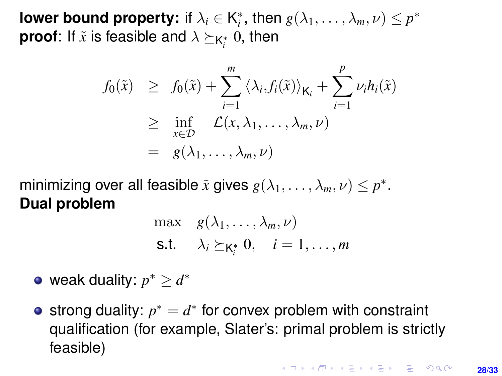**lower bound property:** if  $\lambda_i \in \mathsf{K}_i^*$ , then  $g(\lambda_1, \ldots, \lambda_m, \nu) \leq p^*$ **proof**: If  $\tilde{x}$  is feasible and  $\lambda \succeq_{\mathsf{K}^*_i} 0$ , then

$$
f_0(\tilde{x}) \geq f_0(\tilde{x}) + \sum_{i=1}^m \langle \lambda_i, f_i(\tilde{x}) \rangle_{\mathsf{K}_i} + \sum_{i=1}^p \nu_i h_i(\tilde{x})
$$
  
 
$$
\geq \inf_{x \in \mathcal{D}} \mathcal{L}(x, \lambda_1, \dots, \lambda_m, \nu)
$$
  
=  $g(\lambda_1, \dots, \lambda_m, \nu)$ 

minimizing over all feasible  $\tilde{x}$  gives  $g(\lambda_1, \ldots, \lambda_m, \nu) \leq p^*$ . **Dual problem**

$$
\max \quad g(\lambda_1, \dots, \lambda_m, \nu) \n\text{s.t.} \quad \lambda_i \succeq_{\mathsf{K}_i^*} 0, \quad i = 1, \dots, m
$$

- weak duality:  $p^* \geq d^*$
- strong duality:  $p^* = d^*$  for convex problem with constraint qualification (for example, Slater's: primal problem is strictly feasible)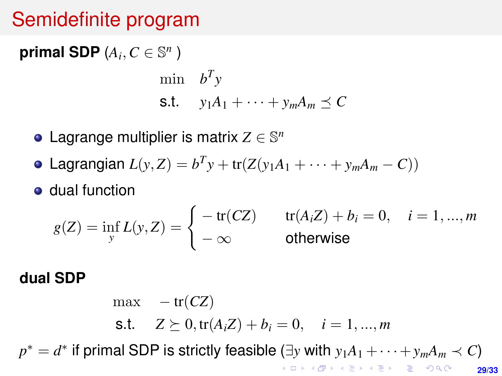# Semidefinite program

**primal SDP**  $(A_i, C \in \mathbb{S}^n)$ 

$$
\begin{aligned}\n\min \quad & b^T y \\
\text{s.t.} \quad & y_1 A_1 + \dots + y_m A_m \preceq C\n\end{aligned}
$$

- Lagrange multiplier is matrix  $Z \in \mathbb{S}^n$
- Lagrangian  $L(y, Z) = b^T y + tr(Z(y_1 A_1 + \cdots + y_m A_m C))$
- dual function

$$
g(Z) = \inf_{y} L(y, Z) = \begin{cases} -\operatorname{tr}(CZ) & \operatorname{tr}(A_i Z) + b_i = 0, \quad i = 1, ..., m \\ -\infty & \text{otherwise} \end{cases}
$$

#### **dual SDP**

 $max - tr(CZ)$ s.t.  $Z \succeq 0$ ,  $tr(A_i Z) + b_i = 0$ ,  $i = 1, ..., m$  $p^* = d^*$  if primal SDP is strictly feasible (∃*y* with  $y_1A_1 + \cdots + y_mA_m \prec C$ ) **KOD KARD KED KED DRA 29/33**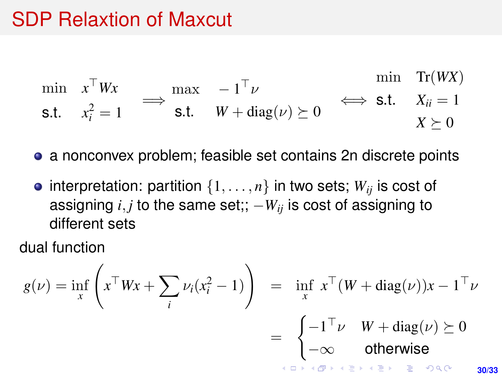# SDP Relaxtion of Maxcut

$$
\min_{\mathbf{S}.\mathbf{t}} \quad x^{\top} W x\n\quad \Longrightarrow \quad \max_{\mathbf{S}.\mathbf{t}} \quad -1^{\top} \nu \quad \Longrightarrow \quad \min_{\mathbf{S}.\mathbf{t}} \quad \text{Tr}(W X) \\
\text{s.t.} \quad x_i^2 = 1 \quad \Longrightarrow \quad \text{s.t.} \quad W + \text{diag}(\nu) \succeq 0 \quad \Longrightarrow \quad \text{s.t.} \quad X_{ii} = 1 \\
X \succeq 0
$$

a nonconvex problem; feasible set contains 2n discrete points

• interpretation: partition  $\{1, \ldots, n\}$  in two sets;  $W_{ij}$  is cost of assigning  $i, j$  to the same set;;  $-W_{ij}$  is cost of assigning to different sets

dual function

$$
g(\nu) = \inf_{x} \left( x^{\top} W x + \sum_{i} \nu_{i} (x_{i}^{2} - 1) \right) = \inf_{x} x^{\top} (W + \text{diag}(\nu)) x - 1^{\top} \nu
$$

$$
= \begin{cases} -1^{\top} \nu & W + \text{diag}(\nu) \succeq 0 \\ -\infty & \text{otherwise} \end{cases}
$$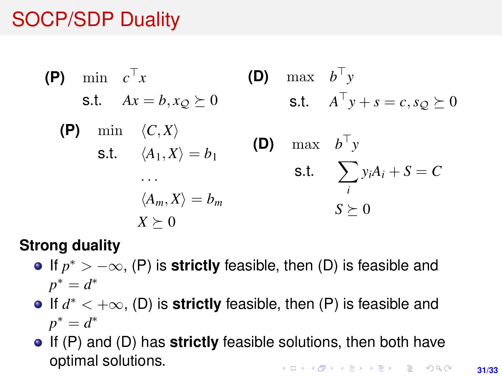# SOCP/SDP Duality

(P) min 
$$
c^{\top}x
$$

\ns.t.  $Ax = b, x_Q \succeq 0$ 

\nso that  $A^{\top}y + s = c, s_Q \succeq 0$ 

\n(P) min  $\langle C, X \rangle$ 

\ns.t.  $\langle A_1, X \rangle = b_1$ 

\nso that  $b^{\top}y$ 

\nso that  $b^{\top}y$ 

\nso that  $b^{\top}y$ 

\nso that  $b^{\top}y$ 

\nso that  $\sum_{i} y_i A_i + S = C$ 

\nso that  $\sum_{i} y_i A_i + S = C$ 

\nso that  $\sum_{i} y_i A_i + S = C$ 

\nso that  $\sum_{i} y_i A_i + S = C$ 

\nso that  $\sum_{i} y_i A_i + S = C$ 

#### **Strong duality**

- If  $p^*$  >  $-\infty$ , (P) is **strictly** feasible, then (D) is feasible and  $p^* = d^*$
- If *d* <sup>∗</sup> < +∞, (D) is **strictly** feasible, then (P) is feasible and  $p^* = d^*$
- If (P) and (D) has **strictly** feasible solutions, then both have optimal solutions.**KORKARK KERKER DRAM**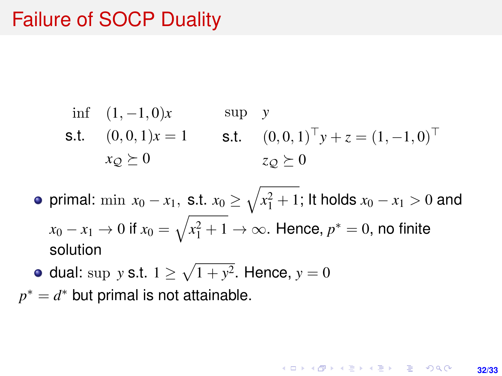### Failure of SOCP Duality

\n 
$$
\text{inf} \quad (1, -1, 0)x
$$
  $\text{sup} \quad y$ \n

\n\n  $\text{S.t.} \quad (0, 0, 1)x = 1$   $\text{S.t.} \quad (0, 0, 1)^{\top}y + z = (1, -1, 0)^{\top}$ \n

\n\n $x_{\mathcal{Q}} \succeq 0$ \n

primal:  $\min \ x_0 - x_1, \text{ s.t. } x_0 \geq \sqrt{x_1^2 + 1};$  It holds  $x_0 - x_1 > 0$  and  $x_0 - x_1 \to 0$  if  $x_0 = \sqrt{x_1^2 + 1} \to \infty.$  Hence,  $p^* = 0,$  no finite solution

dual: sup *y* s.t.  $1 \ge \sqrt{1 + y^2}$ . Hence,  $y = 0$  $p^* = d^*$  but primal is not attainable.

> **KORKARK A BIK BIKA A GA A GA A GA A BIKA A BIKA A BIKA A BIKA A BIKA A BIKA A BIKA A BIKA A BIKA A BIKA A BIKA 32/33**